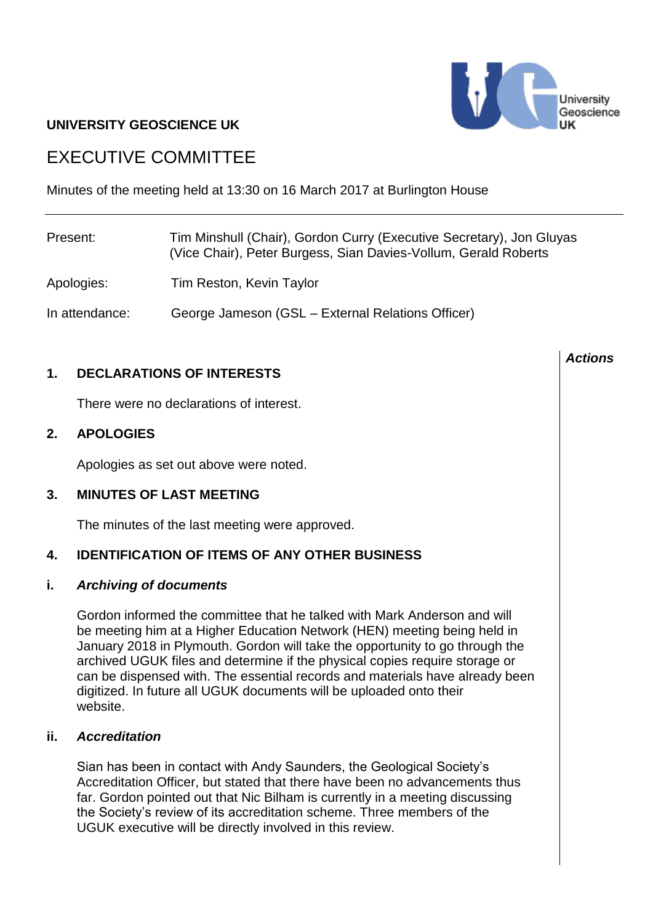

# **UNIVERSITY GEOSCIENCE UK**

# EXECUTIVE COMMITTEE

Minutes of the meeting held at 13:30 on 16 March 2017 at Burlington House

| Present:       | Tim Minshull (Chair), Gordon Curry (Executive Secretary), Jon Gluyas<br>(Vice Chair), Peter Burgess, Sian Davies-Vollum, Gerald Roberts |
|----------------|-----------------------------------------------------------------------------------------------------------------------------------------|
| Apologies:     | Tim Reston, Kevin Taylor                                                                                                                |
| In attendance: | George Jameson (GSL - External Relations Officer)                                                                                       |

# **1. DECLARATIONS OF INTERESTS**

There were no declarations of interest.

# **2. APOLOGIES**

Apologies as set out above were noted.

#### **3. MINUTES OF LAST MEETING**

The minutes of the last meeting were approved.

# **4. IDENTIFICATION OF ITEMS OF ANY OTHER BUSINESS**

#### **i.** *Archiving of documents*

Gordon informed the committee that he talked with Mark Anderson and will be meeting him at a Higher Education Network (HEN) meeting being held in January 2018 in Plymouth. Gordon will take the opportunity to go through the archived UGUK files and determine if the physical copies require storage or can be dispensed with. The essential records and materials have already been digitized. In future all UGUK documents will be uploaded onto their website.

#### **ii.** *Accreditation*

Sian has been in contact with Andy Saunders, the Geological Society's Accreditation Officer, but stated that there have been no advancements thus far. Gordon pointed out that Nic Bilham is currently in a meeting discussing the Society's review of its accreditation scheme. Three members of the UGUK executive will be directly involved in this review.

#### *Actions*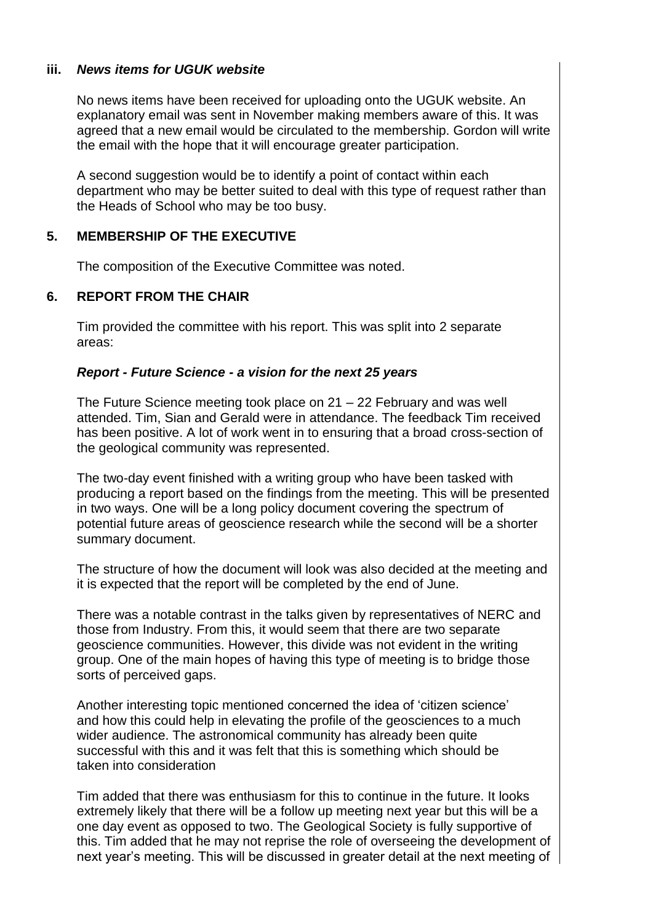# **iii.** *News items for UGUK website*

No news items have been received for uploading onto the UGUK website. An explanatory email was sent in November making members aware of this. It was agreed that a new email would be circulated to the membership. Gordon will write the email with the hope that it will encourage greater participation.

A second suggestion would be to identify a point of contact within each department who may be better suited to deal with this type of request rather than the Heads of School who may be too busy.

## **5. MEMBERSHIP OF THE EXECUTIVE**

The composition of the Executive Committee was noted.

## **6. REPORT FROM THE CHAIR**

Tim provided the committee with his report. This was split into 2 separate areas:

#### *Report - Future Science - a vision for the next 25 years*

The Future Science meeting took place on 21 – 22 February and was well attended. Tim, Sian and Gerald were in attendance. The feedback Tim received has been positive. A lot of work went in to ensuring that a broad cross-section of the geological community was represented.

The two-day event finished with a writing group who have been tasked with producing a report based on the findings from the meeting. This will be presented in two ways. One will be a long policy document covering the spectrum of potential future areas of geoscience research while the second will be a shorter summary document.

The structure of how the document will look was also decided at the meeting and it is expected that the report will be completed by the end of June.

There was a notable contrast in the talks given by representatives of NERC and those from Industry. From this, it would seem that there are two separate geoscience communities. However, this divide was not evident in the writing group. One of the main hopes of having this type of meeting is to bridge those sorts of perceived gaps.

Another interesting topic mentioned concerned the idea of 'citizen science' and how this could help in elevating the profile of the geosciences to a much wider audience. The astronomical community has already been quite successful with this and it was felt that this is something which should be taken into consideration

Tim added that there was enthusiasm for this to continue in the future. It looks extremely likely that there will be a follow up meeting next year but this will be a one day event as opposed to two. The Geological Society is fully supportive of this. Tim added that he may not reprise the role of overseeing the development of next year's meeting. This will be discussed in greater detail at the next meeting of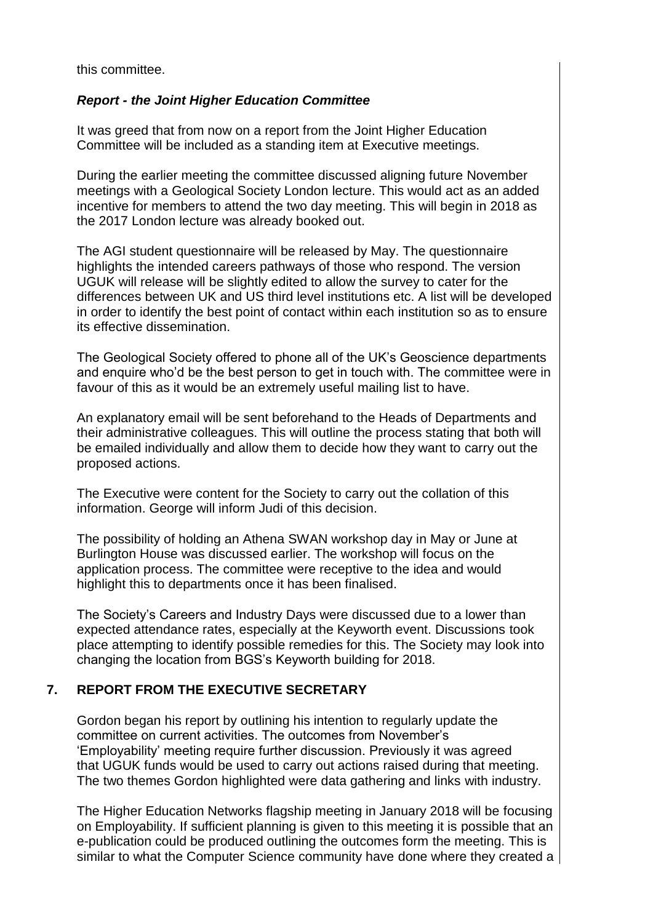this committee.

# *Report - the Joint Higher Education Committee*

It was greed that from now on a report from the Joint Higher Education Committee will be included as a standing item at Executive meetings.

During the earlier meeting the committee discussed aligning future November meetings with a Geological Society London lecture. This would act as an added incentive for members to attend the two day meeting. This will begin in 2018 as the 2017 London lecture was already booked out.

The AGI student questionnaire will be released by May. The questionnaire highlights the intended careers pathways of those who respond. The version UGUK will release will be slightly edited to allow the survey to cater for the differences between UK and US third level institutions etc. A list will be developed in order to identify the best point of contact within each institution so as to ensure its effective dissemination.

The Geological Society offered to phone all of the UK's Geoscience departments and enquire who'd be the best person to get in touch with. The committee were in favour of this as it would be an extremely useful mailing list to have.

An explanatory email will be sent beforehand to the Heads of Departments and their administrative colleagues. This will outline the process stating that both will be emailed individually and allow them to decide how they want to carry out the proposed actions.

The Executive were content for the Society to carry out the collation of this information. George will inform Judi of this decision.

The possibility of holding an Athena SWAN workshop day in May or June at Burlington House was discussed earlier. The workshop will focus on the application process. The committee were receptive to the idea and would highlight this to departments once it has been finalised.

The Society's Careers and Industry Days were discussed due to a lower than expected attendance rates, especially at the Keyworth event. Discussions took place attempting to identify possible remedies for this. The Society may look into changing the location from BGS's Keyworth building for 2018.

# **7. REPORT FROM THE EXECUTIVE SECRETARY**

Gordon began his report by outlining his intention to regularly update the committee on current activities. The outcomes from November's 'Employability' meeting require further discussion. Previously it was agreed that UGUK funds would be used to carry out actions raised during that meeting. The two themes Gordon highlighted were data gathering and links with industry.

The Higher Education Networks flagship meeting in January 2018 will be focusing on Employability. If sufficient planning is given to this meeting it is possible that an e-publication could be produced outlining the outcomes form the meeting. This is similar to what the Computer Science community have done where they created a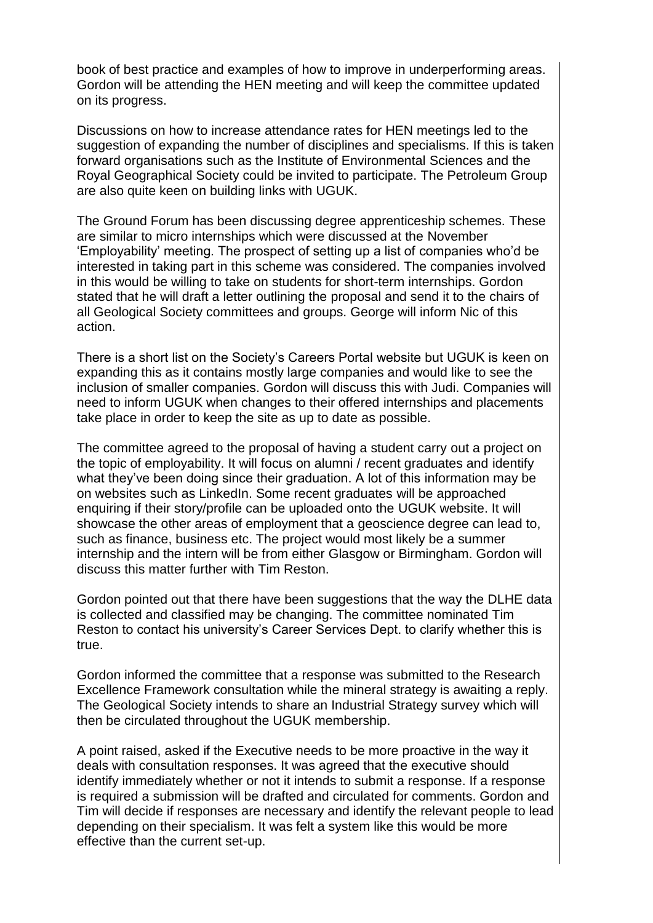book of best practice and examples of how to improve in underperforming areas. Gordon will be attending the HEN meeting and will keep the committee updated on its progress.

Discussions on how to increase attendance rates for HEN meetings led to the suggestion of expanding the number of disciplines and specialisms. If this is taken forward organisations such as the Institute of Environmental Sciences and the Royal Geographical Society could be invited to participate. The Petroleum Group are also quite keen on building links with UGUK.

The Ground Forum has been discussing degree apprenticeship schemes. These are similar to micro internships which were discussed at the November 'Employability' meeting. The prospect of setting up a list of companies who'd be interested in taking part in this scheme was considered. The companies involved in this would be willing to take on students for short-term internships. Gordon stated that he will draft a letter outlining the proposal and send it to the chairs of all Geological Society committees and groups. George will inform Nic of this action.

There is a short list on the Society's Careers Portal website but UGUK is keen on expanding this as it contains mostly large companies and would like to see the inclusion of smaller companies. Gordon will discuss this with Judi. Companies will need to inform UGUK when changes to their offered internships and placements take place in order to keep the site as up to date as possible.

The committee agreed to the proposal of having a student carry out a project on the topic of employability. It will focus on alumni / recent graduates and identify what they've been doing since their graduation. A lot of this information may be on websites such as LinkedIn. Some recent graduates will be approached enquiring if their story/profile can be uploaded onto the UGUK website. It will showcase the other areas of employment that a geoscience degree can lead to, such as finance, business etc. The project would most likely be a summer internship and the intern will be from either Glasgow or Birmingham. Gordon will discuss this matter further with Tim Reston.

Gordon pointed out that there have been suggestions that the way the DLHE data is collected and classified may be changing. The committee nominated Tim Reston to contact his university's Career Services Dept. to clarify whether this is true.

Gordon informed the committee that a response was submitted to the Research Excellence Framework consultation while the mineral strategy is awaiting a reply. The Geological Society intends to share an Industrial Strategy survey which will then be circulated throughout the UGUK membership.

A point raised, asked if the Executive needs to be more proactive in the way it deals with consultation responses. It was agreed that the executive should identify immediately whether or not it intends to submit a response. If a response is required a submission will be drafted and circulated for comments. Gordon and Tim will decide if responses are necessary and identify the relevant people to lead depending on their specialism. It was felt a system like this would be more effective than the current set-up.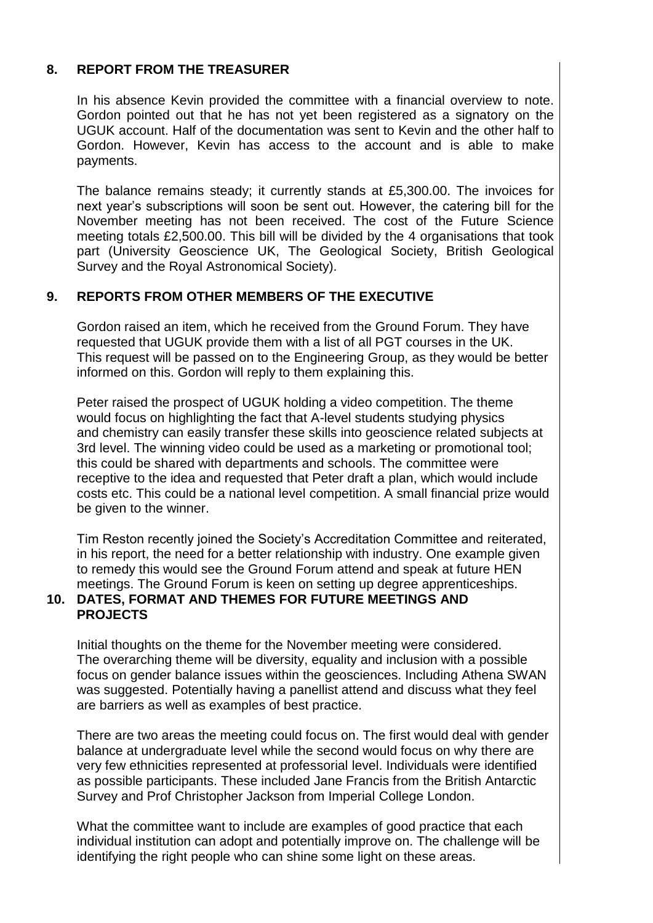# **8. REPORT FROM THE TREASURER**

In his absence Kevin provided the committee with a financial overview to note. Gordon pointed out that he has not yet been registered as a signatory on the UGUK account. Half of the documentation was sent to Kevin and the other half to Gordon. However, Kevin has access to the account and is able to make payments.

The balance remains steady; it currently stands at £5,300.00. The invoices for next year's subscriptions will soon be sent out. However, the catering bill for the November meeting has not been received. The cost of the Future Science meeting totals £2,500.00. This bill will be divided by the 4 organisations that took part (University Geoscience UK, The Geological Society, British Geological Survey and the Royal Astronomical Society).

#### **9. REPORTS FROM OTHER MEMBERS OF THE EXECUTIVE**

Gordon raised an item, which he received from the Ground Forum. They have requested that UGUK provide them with a list of all PGT courses in the UK. This request will be passed on to the Engineering Group, as they would be better informed on this. Gordon will reply to them explaining this.

Peter raised the prospect of UGUK holding a video competition. The theme would focus on highlighting the fact that A-level students studying physics and chemistry can easily transfer these skills into geoscience related subjects at 3rd level. The winning video could be used as a marketing or promotional tool; this could be shared with departments and schools. The committee were receptive to the idea and requested that Peter draft a plan, which would include costs etc. This could be a national level competition. A small financial prize would be given to the winner.

Tim Reston recently joined the Society's Accreditation Committee and reiterated, in his report, the need for a better relationship with industry. One example given to remedy this would see the Ground Forum attend and speak at future HEN meetings. The Ground Forum is keen on setting up degree apprenticeships.

#### **10. DATES, FORMAT AND THEMES FOR FUTURE MEETINGS AND PROJECTS**

Initial thoughts on the theme for the November meeting were considered. The overarching theme will be diversity, equality and inclusion with a possible focus on gender balance issues within the geosciences. Including Athena SWAN was suggested. Potentially having a panellist attend and discuss what they feel are barriers as well as examples of best practice.

There are two areas the meeting could focus on. The first would deal with gender balance at undergraduate level while the second would focus on why there are very few ethnicities represented at professorial level. Individuals were identified as possible participants. These included Jane Francis from the British Antarctic Survey and Prof Christopher Jackson from Imperial College London.

What the committee want to include are examples of good practice that each individual institution can adopt and potentially improve on. The challenge will be identifying the right people who can shine some light on these areas.